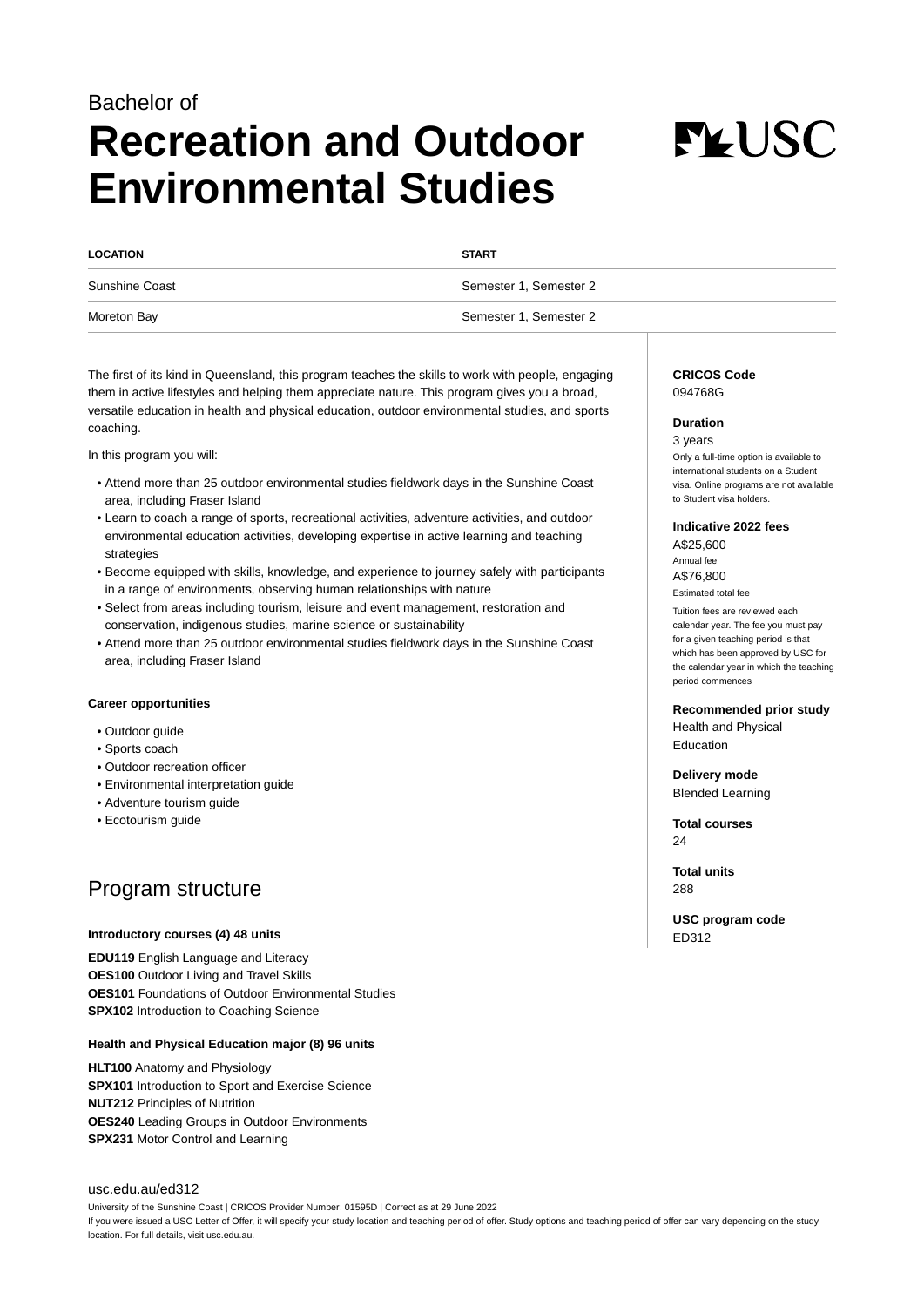## Bachelor of **Recreation and Outdoor Environmental Studies**

# **FLUSC**

| <b>LOCATION</b> | <b>START</b>           |
|-----------------|------------------------|
| Sunshine Coast  | Semester 1, Semester 2 |
| Moreton Bay     | Semester 1, Semester 2 |

The first of its kind in Queensland, this program teaches the skills to work with people, engaging them in active lifestyles and helping them appreciate nature. This program gives you a broad, versatile education in health and physical education, outdoor environmental studies, and sports coaching.

In this program you will:

- Attend more than 25 outdoor environmental studies fieldwork days in the Sunshine Coast area, including Fraser Island
- Learn to coach a range of sports, recreational activities, adventure activities, and outdoor environmental education activities, developing expertise in active learning and teaching strategies
- Become equipped with skills, knowledge, and experience to journey safely with participants in a range of environments, observing human relationships with nature
- Select from areas including tourism, leisure and event management, restoration and conservation, indigenous studies, marine science or sustainability
- Attend more than 25 outdoor environmental studies fieldwork days in the Sunshine Coast area, including Fraser Island

#### **Career opportunities**

- Outdoor guide
- Sports coach
- Outdoor recreation officer
- Environmental interpretation guide
- Adventure tourism guide
- Ecotourism guide

### Program structure

#### **Introductory courses (4) 48 units**

**EDU119** English Language and Literacy **OES100** Outdoor Living and Travel Skills **OES101** Foundations of Outdoor Environmental Studies **SPX102** Introduction to Coaching Science

#### **Health and Physical Education major (8) 96 units**

**HLT100** Anatomy and Physiology **SPX101** Introduction to Sport and Exercise Science **NUT212** Principles of Nutrition **OES240** Leading Groups in Outdoor Environments **SPX231** Motor Control and Learning

#### [usc.edu.au/ed312](https://www.usc.edu.au/ed312)

University of the Sunshine Coast | CRICOS Provider Number: 01595D | Correct as at 29 June 2022 If you were issued a USC Letter of Offer, it will specify your study location and teaching period of offer. Study options and teaching period of offer can vary depending on the study location. For full details, visit usc.edu.au.

#### **CRICOS Code** 094768G

#### **Duration**

3 years Only a full-time option is available to international students on a Student visa. Online programs are not available to Student visa holders.

#### **Indicative 2022 fees**

A\$25,600 Annual fee A\$76,800 Estimated total fee

Tuition fees are reviewed each calendar year. The fee you must pay for a given teaching period is that which has been approved by USC for the calendar year in which the teaching period commences

#### **Recommended prior study**

Health and Physical Education

**Delivery mode** Blended Learning

**Total courses** 24

**Total units** 288

**USC program code** ED312